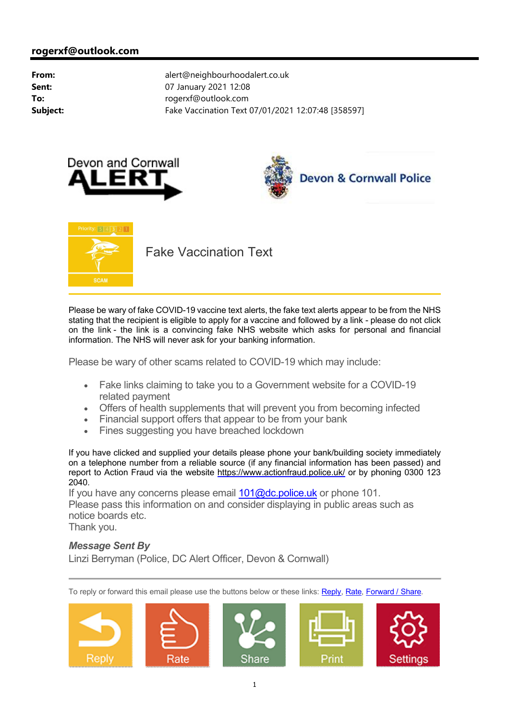

Please be wary of fake COVID-19 vaccine text alerts, the fake text alerts appear to be from the NHS stating that the recipient is eligible to apply for a vaccine and followed by a link - please do not click on the link - the link is a convincing fake NHS website which asks for personal and financial information. The NHS will never ask for your banking information.

Please be wary of other scams related to COVID-19 which may include:

- Fake links claiming to take you to a Government website for a COVID-19 related payment
- Offers of health supplements that will prevent you from becoming infected
- Financial support offers that appear to be from your bank
- Fines suggesting you have breached lockdown

If you have clicked and supplied your details please phone your bank/building society immediately on a telephone number from a reliable source (if any financial information has been passed) and report to Action Fraud via the website <https://www.actionfraud.police.uk/> or by phoning 0300 123 2040.

If you have any concerns please email  $101@dc$ , police.uk or phone 101.

Please pass this information on and consider displaying in public areas such as notice boards etc.

Thank you.

## *Message Sent By*

Linzi Berryman (Police, DC Alert Officer, Devon & Cornwall)

To reply or forward this email please use the buttons below or these links: Reply, Rate, Forward / Share.